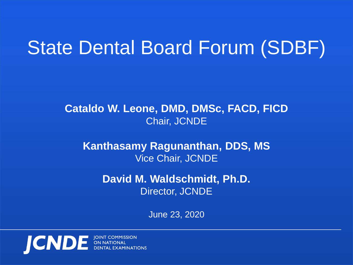# State Dental Board Forum (SDBF)

#### **Cataldo W. Leone, DMD, DMSc, FACD, FICD** Chair, JCNDE

**Kanthasamy Ragunanthan, DDS, MS** Vice Chair, JCNDE

> **David M. Waldschmidt, Ph.D.** Director, JCNDE

> > June 23, 2020

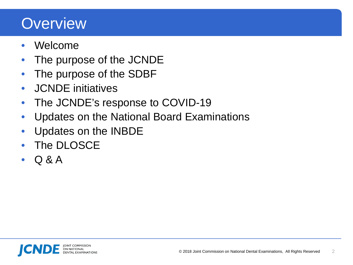## **Overview**

- Welcome
- The purpose of the JCNDE
- The purpose of the SDBF
- JCNDE initiatives
- The JCNDE's response to COVID-19
- Updates on the National Board Examinations
- Updates on the INBDE
- The DLOSCE
- Q & A

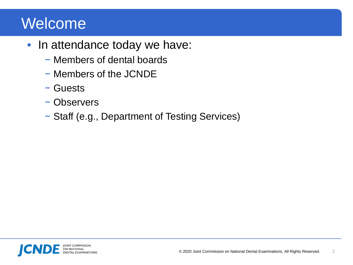## Welcome

- In attendance today we have:
	- − Members of dental boards
	- − Members of the JCNDE
	- − Guests
	- − Observers
	- − Staff (e.g., Department of Testing Services)

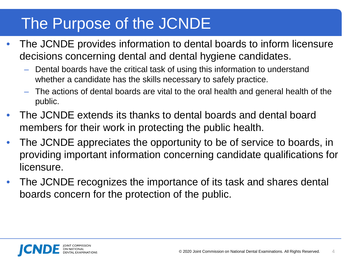## The Purpose of the JCNDE

- The JCNDE provides information to dental boards to inform licensure decisions concerning dental and dental hygiene candidates.
	- Dental boards have the critical task of using this information to understand whether a candidate has the skills necessary to safely practice.
	- The actions of dental boards are vital to the oral health and general health of the public.
- The JCNDE extends its thanks to dental boards and dental board members for their work in protecting the public health.
- The JCNDE appreciates the opportunity to be of service to boards, in providing important information concerning candidate qualifications for licensure.
- The JCNDE recognizes the importance of its task and shares dental boards concern for the protection of the public.

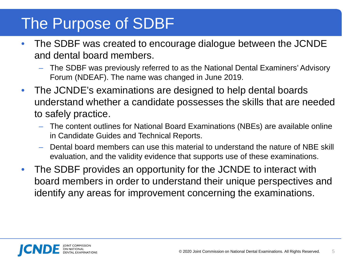## The Purpose of SDBF

- The SDBF was created to encourage dialogue between the JCNDE and dental board members.
	- The SDBF was previously referred to as the National Dental Examiners' Advisory Forum (NDEAF). The name was changed in June 2019.
- The JCNDE's examinations are designed to help dental boards understand whether a candidate possesses the skills that are needed to safely practice.
	- The content outlines for National Board Examinations (NBEs) are available online in Candidate Guides and Technical Reports.
	- Dental board members can use this material to understand the nature of NBE skill evaluation, and the validity evidence that supports use of these examinations.
- The SDBF provides an opportunity for the JCNDE to interact with board members in order to understand their unique perspectives and identify any areas for improvement concerning the examinations.

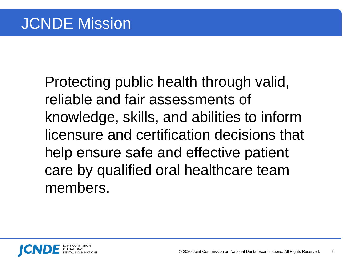Protecting public health through valid, reliable and fair assessments of knowledge, skills, and abilities to inform licensure and certification decisions that help ensure safe and effective patient care by qualified oral healthcare team members.

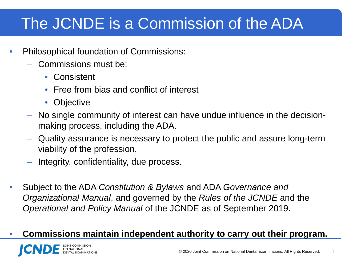## The JCNDE is a Commission of the ADA

- Philosophical foundation of Commissions:
	- Commissions must be:
		- Consistent
		- Free from bias and conflict of interest
		- Objective
	- No single community of interest can have undue influence in the decisionmaking process, including the ADA.
	- Quality assurance is necessary to protect the public and assure long-term viability of the profession.
	- Integrity, confidentiality, due process.
- Subject to the ADA *Constitution & Bylaws* and ADA *Governance and Organizational Manual*, and governed by the *Rules of the JCNDE* and the *Operational and Policy Manual* of the JCNDE as of September 2019.

#### • **Commissions maintain independent authority to carry out their program.**

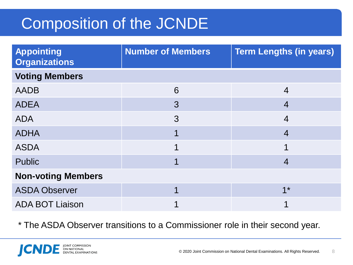## Composition of the JCNDE

| <b>Appointing</b><br><b>Organizations</b> | <b>Number of Members</b> | <b>Term Lengths (in years)</b> |  |
|-------------------------------------------|--------------------------|--------------------------------|--|
| <b>Voting Members</b>                     |                          |                                |  |
| <b>AADB</b>                               | 6                        | $\overline{4}$                 |  |
| <b>ADEA</b>                               | 3                        | $\overline{4}$                 |  |
| <b>ADA</b>                                | 3                        | $\overline{4}$                 |  |
| <b>ADHA</b>                               |                          | $\overline{4}$                 |  |
| <b>ASDA</b>                               |                          |                                |  |
| <b>Public</b>                             |                          | $\overline{4}$                 |  |
| <b>Non-voting Members</b>                 |                          |                                |  |
| <b>ASDA Observer</b>                      |                          | $1*$                           |  |
| <b>ADA BOT Liaison</b>                    |                          |                                |  |

\* The ASDA Observer transitions to a Commissioner role in their second year.

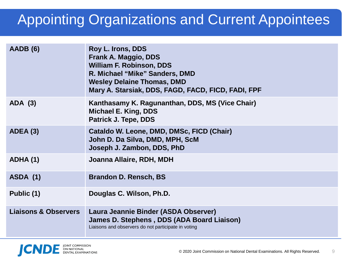### Appointing Organizations and Current Appointees

| AADB (6)                        | <b>Roy L. Irons, DDS</b><br>Frank A. Maggio, DDS<br><b>William F. Robinson, DDS</b><br>R. Michael "Mike" Sanders, DMD<br><b>Wesley Delaine Thomas, DMD</b><br>Mary A. Starsiak, DDS, FAGD, FACD, FICD, FADI, FPF |
|---------------------------------|------------------------------------------------------------------------------------------------------------------------------------------------------------------------------------------------------------------|
| <b>ADA</b> (3)                  | Kanthasamy K. Ragunanthan, DDS, MS (Vice Chair)<br>Michael E. King, DDS<br>Patrick J. Tepe, DDS                                                                                                                  |
| ADEA (3)                        | Cataldo W. Leone, DMD, DMSc, FICD (Chair)<br>John D. Da Silva, DMD, MPH, ScM<br>Joseph J. Zambon, DDS, PhD                                                                                                       |
| ADHA(1)                         | Joanna Allaire, RDH, MDH                                                                                                                                                                                         |
| ASDA (1)                        | <b>Brandon D. Rensch, BS</b>                                                                                                                                                                                     |
| Public (1)                      | Douglas C. Wilson, Ph.D.                                                                                                                                                                                         |
| <b>Liaisons &amp; Observers</b> | Laura Jeannie Binder (ASDA Observer)<br>James D. Stephens, DDS (ADA Board Liaison)<br>Liaisons and observers do not participate in voting                                                                        |

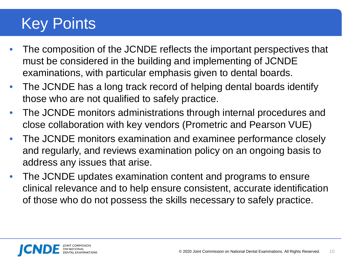## Key Points

- The composition of the JCNDE reflects the important perspectives that must be considered in the building and implementing of JCNDE examinations, with particular emphasis given to dental boards.
- The JCNDE has a long track record of helping dental boards identify those who are not qualified to safely practice.
- The JCNDE monitors administrations through internal procedures and close collaboration with key vendors (Prometric and Pearson VUE)
- The JCNDE monitors examination and examinee performance closely and regularly, and reviews examination policy on an ongoing basis to address any issues that arise.
- The JCNDE updates examination content and programs to ensure clinical relevance and to help ensure consistent, accurate identification of those who do not possess the skills necessary to safely practice.

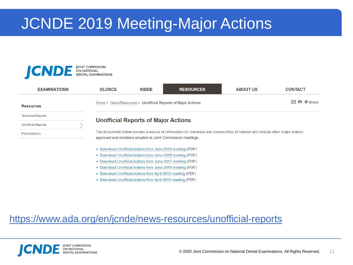## JCNDE 2019 Meeting-Major Actions

| JCNDE <b>DINT COMMISSION</b> |                                                                                                                                                                                             |                                                             |                  |                 |                             |
|------------------------------|---------------------------------------------------------------------------------------------------------------------------------------------------------------------------------------------|-------------------------------------------------------------|------------------|-----------------|-----------------------------|
| <b>EXAMINATIONS</b>          | <b>DLOSCE</b>                                                                                                                                                                               | <b>INBDE</b>                                                | <b>RESOURCES</b> | <b>ABOUT US</b> | <b>CONTACT</b>              |
| <b>Resources</b>             |                                                                                                                                                                                             | Home > News/Resources > Unofficial Reports of Major Actions |                  |                 | <b>MF</b><br><b>+</b> Share |
| <b>Technical Reports</b>     |                                                                                                                                                                                             |                                                             |                  |                 |                             |
| <b>Unofficial Reports</b>    | <b>Unofficial Reports of Major Actions</b>                                                                                                                                                  |                                                             |                  |                 |                             |
| <b>Presentations</b>         | The documents below provide a source of information for members and communities of interest and include other major actions<br>approved and revisions adopted at Joint Commission meetings. |                                                             |                  |                 |                             |
|                              |                                                                                                                                                                                             | • Download Unofficial Actions from June 2019 meeting (PDF)  |                  |                 |                             |
|                              | • Download Unofficial Actions from June 2018 meeting (PDF)                                                                                                                                  |                                                             |                  |                 |                             |
|                              |                                                                                                                                                                                             | • Download Unofficial Actions from June 2017 meeting (PDF)  |                  |                 |                             |
|                              |                                                                                                                                                                                             | • Download Unofficial Actions from June 2016 meeting (PDF)  |                  |                 |                             |
|                              |                                                                                                                                                                                             | • Download Unofficial Actions from April 2015 meeting (PDF) |                  |                 |                             |

• Download Unofficial Actions from April 2014 meeting (PDF)

#### <https://www.ada.org/en/jcnde/news-resources/unofficial-reports>

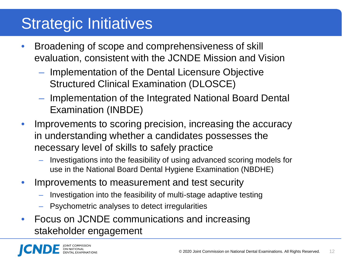## Strategic Initiatives

- Broadening of scope and comprehensiveness of skill evaluation, consistent with the JCNDE Mission and Vision
	- Implementation of the Dental Licensure Objective Structured Clinical Examination (DLOSCE)
	- Implementation of the Integrated National Board Dental Examination (INBDE)
- Improvements to scoring precision, increasing the accuracy in understanding whether a candidates possesses the necessary level of skills to safely practice
	- Investigations into the feasibility of using advanced scoring models for use in the National Board Dental Hygiene Examination (NBDHE)
- Improvements to measurement and test security
	- Investigation into the feasibility of multi-stage adaptive testing
	- Psychometric analyses to detect irregularities
- Focus on JCNDE communications and increasing stakeholder engagement

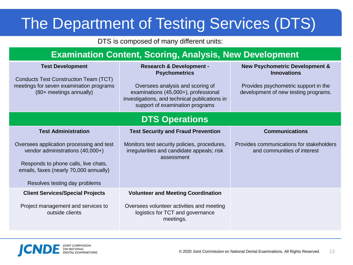## The Department of Testing Services (DTS)

DTS is composed of many different units:

#### **Examination Content, Scoring, Analysis, New Development**

| <b>Test Development</b><br>Conducts Test Construction Team (TCT)<br>meetings for seven examination programs<br>(80+ meetings annually)                                                          | <b>Research &amp; Development -</b><br><b>Psychometrics</b><br>Oversees analysis and scoring of<br>examinations (45,000+), professional<br>investigations, and technical publications in<br>support of examination programs | <b>New Psychometric Development &amp;</b><br><b>Innovations</b><br>Provides psychometric support in the<br>development of new testing programs. |  |
|-------------------------------------------------------------------------------------------------------------------------------------------------------------------------------------------------|-----------------------------------------------------------------------------------------------------------------------------------------------------------------------------------------------------------------------------|-------------------------------------------------------------------------------------------------------------------------------------------------|--|
| <b>DTS Operations</b>                                                                                                                                                                           |                                                                                                                                                                                                                             |                                                                                                                                                 |  |
| <b>Test Administration</b>                                                                                                                                                                      | <b>Test Security and Fraud Prevention</b>                                                                                                                                                                                   | <b>Communications</b>                                                                                                                           |  |
| Oversees application processing and test<br>vendor administrations (40,000+)<br>Responds to phone calls, live chats,<br>emails, faxes (nearly 70,000 annually)<br>Resolves testing day problems | Monitors test security policies, procedures,<br>irregularities and candidate appeals; risk<br>assessment                                                                                                                    | Provides communications for stakeholders<br>and communities of interest                                                                         |  |
| <b>Client Services/Special Projects</b>                                                                                                                                                         | <b>Volunteer and Meeting Coordination</b>                                                                                                                                                                                   |                                                                                                                                                 |  |
| Project management and services to<br>outside clients                                                                                                                                           | Oversees volunteer activities and meeting<br>logistics for TCT and governance<br>meetings.                                                                                                                                  |                                                                                                                                                 |  |

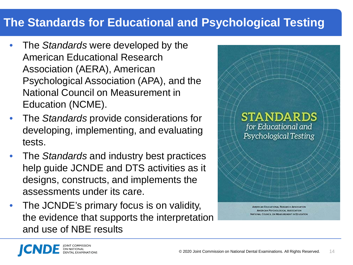#### **The Standards for Educational and Psychological Testing**

- The *Standards* were developed by the American Educational Research Association (AERA), American Psychological Association (APA), and the National Council on Measurement in Education (NCME).
- The *Standards* provide considerations for developing, implementing, and evaluating tests.
- The *Standards* and industry best practices help guide JCNDE and DTS activities as it designs, constructs, and implements the assessments under its care.
- The JCNDE's primary focus is on validity, the evidence that supports the interpretation and use of NBE results

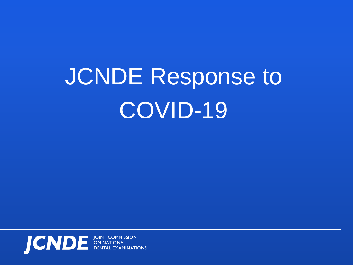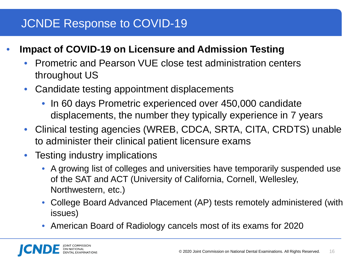- **Impact of COVID-19 on Licensure and Admission Testing**
	- Prometric and Pearson VUE close test administration centers throughout US
	- Candidate testing appointment displacements
		- In 60 days Prometric experienced over 450,000 candidate displacements, the number they typically experience in 7 years
	- Clinical testing agencies (WREB, CDCA, SRTA, CITA, CRDTS) unable to administer their clinical patient licensure exams
	- Testing industry implications
		- A growing list of colleges and universities have temporarily suspended use of the SAT and ACT (University of California, Cornell, Wellesley, Northwestern, etc.)
		- College Board Advanced Placement (AP) tests remotely administered (with issues)
		- American Board of Radiology cancels most of its exams for 2020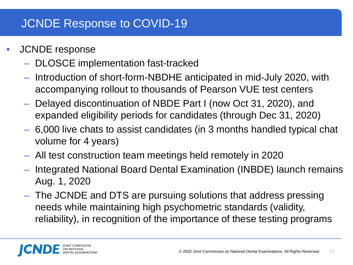- JCNDE response
	- DLOSCE implementation fast-tracked
	- Introduction of short-form-NBDHE anticipated in mid-July 2020, with accompanying rollout to thousands of Pearson VUE test centers
	- Delayed discontinuation of NBDE Part I (now Oct 31, 2020), and expanded eligibility periods for candidates (through Dec 31, 2020)
	- 6,000 live chats to assist candidates (in 3 months handled typical chat volume for 4 years)
	- All test construction team meetings held remotely in 2020
	- Integrated National Board Dental Examination (INBDE) launch remains Aug. 1, 2020
	- The JCNDE and DTS are pursuing solutions that address pressing needs while maintaining high psychometric standards (validity, reliability), in recognition of the importance of these testing programs

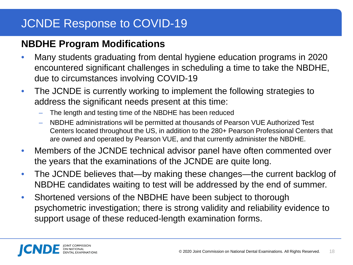#### **NBDHE Program Modifications**

- Many students graduating from dental hygiene education programs in 2020 encountered significant challenges in scheduling a time to take the NBDHE, due to circumstances involving COVID-19
- The JCNDE is currently working to implement the following strategies to address the significant needs present at this time:
	- The length and testing time of the NBDHE has been reduced
	- NBDHE administrations will be permitted at thousands of Pearson VUE Authorized Test Centers located throughout the US, in addition to the 280+ Pearson Professional Centers that are owned and operated by Pearson VUE, and that currently administer the NBDHE.
- Members of the JCNDE technical advisor panel have often commented over the years that the examinations of the JCNDE are quite long.
- The JCNDE believes that—by making these changes—the current backlog of NBDHE candidates waiting to test will be addressed by the end of summer.
- Shortened versions of the NBDHE have been subject to thorough psychometric investigation; there is strong validity and reliability evidence to support usage of these reduced-length examination forms.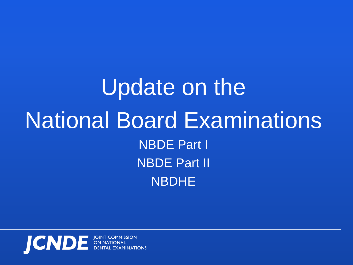# Update on the National Board Examinations NBDE Part I NBDE Part II NBDHE

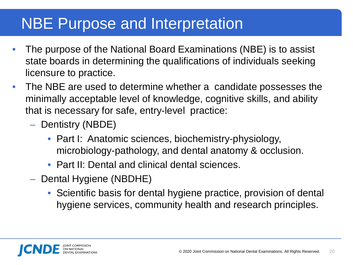## NBE Purpose and Interpretation

- The purpose of the National Board Examinations (NBE) is to assist state boards in determining the qualifications of individuals seeking licensure to practice.
- The NBE are used to determine whether a candidate possesses the minimally acceptable level of knowledge, cognitive skills, and ability that is necessary for safe, entry-level practice:
	- Dentistry (NBDE)
		- Part I: Anatomic sciences, biochemistry-physiology, microbiology-pathology, and dental anatomy & occlusion.
		- Part II: Dental and clinical dental sciences.
	- Dental Hygiene (NBDHE)
		- Scientific basis for dental hygiene practice, provision of dental hygiene services, community health and research principles.

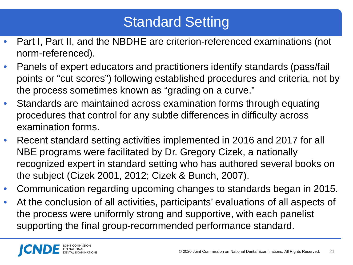## Standard Setting

- Part I, Part II, and the NBDHE are criterion-referenced examinations (not norm-referenced).
- Panels of expert educators and practitioners identify standards (pass/fail points or "cut scores") following established procedures and criteria, not by the process sometimes known as "grading on a curve."
- Standards are maintained across examination forms through equating procedures that control for any subtle differences in difficulty across examination forms.
- Recent standard setting activities implemented in 2016 and 2017 for all NBE programs were facilitated by Dr. Gregory Cizek, a nationally recognized expert in standard setting who has authored several books on the subject (Cizek 2001, 2012; Cizek & Bunch, 2007).
- Communication regarding upcoming changes to standards began in 2015.
- At the conclusion of all activities, participants' evaluations of all aspects of the process were uniformly strong and supportive, with each panelist supporting the final group-recommended performance standard.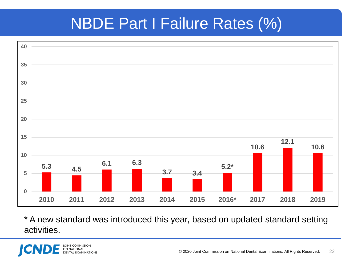## NBDE Part I Failure Rates (%)



\* A new standard was introduced this year, based on updated standard setting activities.

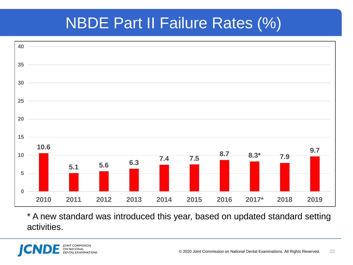## NBDE Part II Failure Rates (%)



\* A new standard was introduced this year, based on updated standard setting activities.

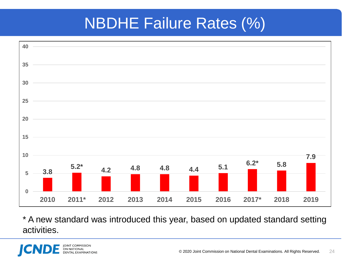## NBDHE Failure Rates (%)



\* A new standard was introduced this year, based on updated standard setting activities.

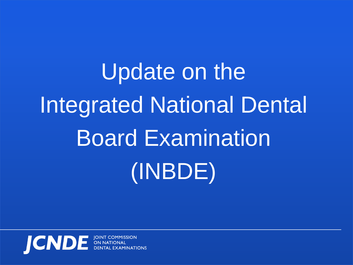Update on the Integrated National Dental Board Examination (INBDE)

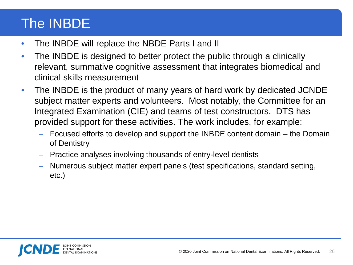### The INBDE

- The INBDE will replace the NBDE Parts I and II
- The INBDE is designed to better protect the public through a clinically relevant, summative cognitive assessment that integrates biomedical and clinical skills measurement
- The INBDE is the product of many years of hard work by dedicated JCNDE subject matter experts and volunteers. Most notably, the Committee for an Integrated Examination (CIE) and teams of test constructors. DTS has provided support for these activities. The work includes, for example:
	- Focused efforts to develop and support the INBDE content domain the Domain of Dentistry
	- Practice analyses involving thousands of entry-level dentists
	- Numerous subject matter expert panels (test specifications, standard setting, etc.)

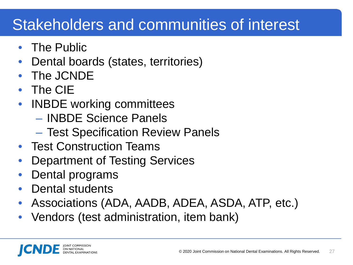## Stakeholders and communities of interest

- The Public
- Dental boards (states, territories)
- The JCNDE
- The CIE
- INBDE working committees
	- INBDE Science Panels
	- Test Specification Review Panels
- Test Construction Teams
- Department of Testing Services
- Dental programs
- Dental students
- Associations (ADA, AADB, ADEA, ASDA, ATP, etc.)
- Vendors (test administration, item bank)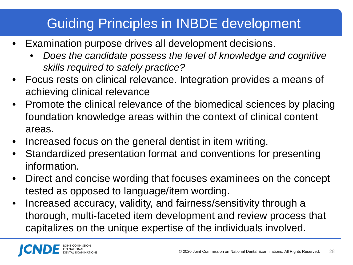### Guiding Principles in INBDE development

- Examination purpose drives all development decisions.
	- *Does the candidate possess the level of knowledge and cognitive skills required to safely practice?*
- Focus rests on clinical relevance. Integration provides a means of achieving clinical relevance
- Promote the clinical relevance of the biomedical sciences by placing foundation knowledge areas within the context of clinical content areas.
- Increased focus on the general dentist in item writing.
- Standardized presentation format and conventions for presenting information.
- Direct and concise wording that focuses examinees on the concept tested as opposed to language/item wording.
- Increased accuracy, validity, and fairness/sensitivity through a thorough, multi-faceted item development and review process that capitalizes on the unique expertise of the individuals involved.

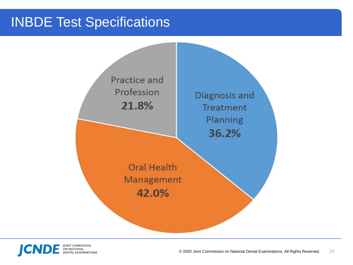#### INBDE Test Specifications



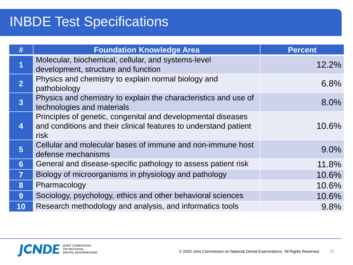### INBDE Test Specifications

| #                       | <b>Foundation Knowledge Area</b>                                                                                                                | <b>Percent</b> |
|-------------------------|-------------------------------------------------------------------------------------------------------------------------------------------------|----------------|
| 1                       | Molecular, biochemical, cellular, and systems-level<br>development, structure and function                                                      | 12.2%          |
| $\overline{2}$          | Physics and chemistry to explain normal biology and<br>pathobiology                                                                             | 6.8%           |
| $\overline{3}$          | Physics and chemistry to explain the characteristics and use of<br>technologies and materials                                                   | 8.0%           |
| $\overline{\mathbf{4}}$ | Principles of genetic, congenital and developmental diseases<br>and conditions and their clinical features to understand patient<br><b>risk</b> | 10.6%          |
| 5                       | Cellular and molecular bases of immune and non-immune host<br>defense mechanisms                                                                | 9.0%           |
| 6 <sup>1</sup>          | General and disease-specific pathology to assess patient risk                                                                                   | 11.8%          |
| $\overline{7}$          | Biology of microorganisms in physiology and pathology                                                                                           | 10.6%          |
| 8                       | Pharmacology                                                                                                                                    | 10.6%          |
| 9                       | Sociology, psychology, ethics and other behavioral sciences                                                                                     | 10.6%          |
| 10                      | Research methodology and analysis, and informatics tools                                                                                        | 9.8%           |

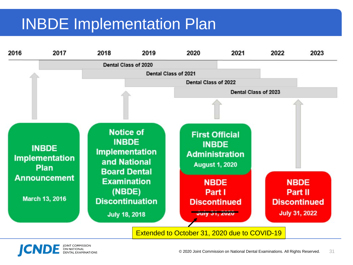## INBDE Implementation Plan



Extended to October 31, 2020 due to COVID-19

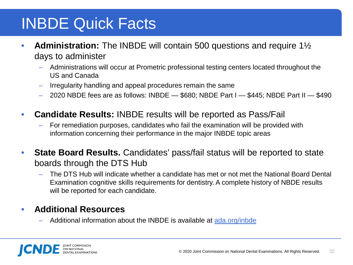## INBDE Quick Facts

- **Administration:** The INBDE will contain 500 questions and require 1½ days to administer
	- Administrations will occur at Prometric professional testing centers located throughout the US and Canada
	- Irregularity handling and appeal procedures remain the same
	- 2020 NBDE fees are as follows: INBDE \$680; NBDE Part I \$445; NBDE Part II \$490
- **Candidate Results:** INBDE results will be reported as Pass/Fail
	- For remediation purposes, candidates who fail the examination will be provided with information concerning their performance in the major INBDE topic areas
- **State Board Results.** Candidates' pass/fail status will be reported to state boards through the DTS Hub
	- The DTS Hub will indicate whether a candidate has met or not met the National Board Dental Examination cognitive skills requirements for dentistry. A complete history of NBDE results will be reported for each candidate.

#### • **Additional Resources**

– Additional information about the INBDE is available at [ada.org/inbde](http://www.ada.org/jcnde/inbde)

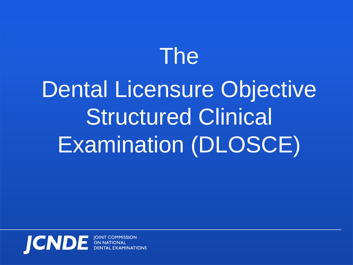# The

Dental Licensure Objective Structured Clinical Examination (DLOSCE)

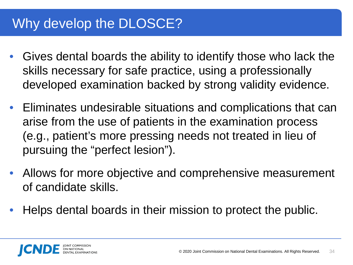### Why develop the DLOSCE?

- Gives dental boards the ability to identify those who lack the skills necessary for safe practice, using a professionally developed examination backed by strong validity evidence.
- Eliminates undesirable situations and complications that can arise from the use of patients in the examination process (e.g., patient's more pressing needs not treated in lieu of pursuing the "perfect lesion").
- Allows for more objective and comprehensive measurement of candidate skills.
- Helps dental boards in their mission to protect the public.

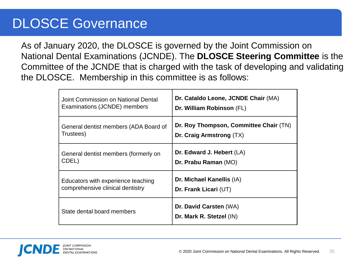#### DLOSCE Governance

As of January 2020, the DLOSCE is governed by the Joint Commission on National Dental Examinations (JCNDE). The **DLOSCE Steering Committee** is the Committee of the JCNDE that is charged with the task of developing and validating the DLOSCE. Membership in this committee is as follows:

| Joint Commission on National Dental   | Dr. Cataldo Leone, JCNDE Chair (MA)                |
|---------------------------------------|----------------------------------------------------|
| Examinations (JCNDE) members          | Dr. William Robinson (FL)                          |
| General dentist members (ADA Board of | Dr. Roy Thompson, Committee Chair (TN)             |
| Trustees)                             | Dr. Craig Armstrong (TX)                           |
| General dentist members (formerly on  | Dr. Edward J. Hebert (LA)                          |
| CDEL)                                 | Dr. Prabu Raman (MO)                               |
| Educators with experience teaching    | Dr. Michael Kanellis (IA)                          |
| comprehensive clinical dentistry      | <b>Dr. Frank Licari (UT)</b>                       |
| State dental board members            | Dr. David Carsten (WA)<br>Dr. Mark R. Stetzel (IN) |

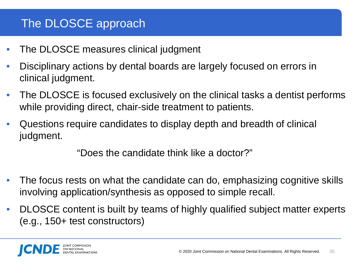#### The DLOSCE approach

- The DLOSCE measures clinical judgment
- Disciplinary actions by dental boards are largely focused on errors in clinical judgment.
- The DLOSCE is focused exclusively on the clinical tasks a dentist performs while providing direct, chair-side treatment to patients.
- Questions require candidates to display depth and breadth of clinical judgment.

"Does the candidate think like a doctor?"

- The focus rests on what the candidate can do, emphasizing cognitive skills involving application/synthesis as opposed to simple recall.
- DLOSCE content is built by teams of highly qualified subject matter experts (e.g., 150+ test constructors)

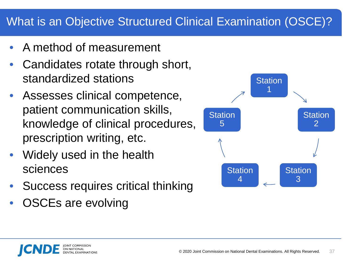#### What is an Objective Structured Clinical Examination (OSCE)?

- A method of measurement
- Candidates rotate through short, standardized stations
- Assesses clinical competence, patient communication skills, knowledge of clinical procedures, prescription writing, etc.
- Widely used in the health sciences
- Success requires critical thinking
- OSCEs are evolving

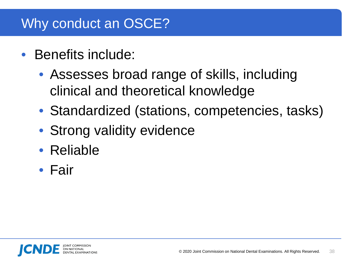### Why conduct an OSCE?

- Benefits include:
	- Assesses broad range of skills, including clinical and theoretical knowledge
	- Standardized (stations, competencies, tasks)
	- Strong validity evidence
	- Reliable
	- Fair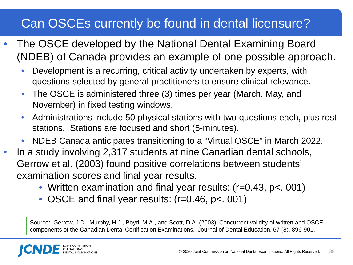#### Can OSCEs currently be found in dental licensure?

- The OSCE developed by the National Dental Examining Board (NDEB) of Canada provides an example of one possible approach.
	- Development is a recurring, critical activity undertaken by experts, with questions selected by general practitioners to ensure clinical relevance.
	- The OSCE is administered three (3) times per year (March, May, and November) in fixed testing windows.
	- Administrations include 50 physical stations with two questions each, plus rest stations. Stations are focused and short (5-minutes).
	- NDEB Canada anticipates transitioning to a "Virtual OSCE" in March 2022.
- In a study involving 2,317 students at nine Canadian dental schools, Gerrow et al. (2003) found positive correlations between students' examination scores and final year results.
	- Written examination and final year results: (r=0.43, p<. 001)
	- OSCE and final year results: (r=0.46, p<. 001)

Source: Gerrow, J.D., Murphy, H.J., Boyd, M.A., and Scott, D.A. (2003). Concurrent validity of written and OSCE components of the Canadian Dental Certification Examinations. Journal of Dental Education, 67 (8), 896-901.

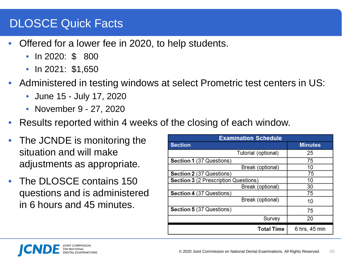#### DLOSCE Quick Facts

- Offered for a lower fee in 2020, to help students.
	- In 2020: \$ 800
	- In 2021: \$1,650
- Administered in testing windows at select Prometric test centers in US:
	- June 15 July 17, 2020
	- November 9 27, 2020
- Results reported within 4 weeks of the closing of each window.
- The JCNDE is monitoring the situation and will make adjustments as appropriate.
- The DLOSCE contains 150 questions and is administered in 6 hours and 45 minutes.

| <b>Examination Schedule</b>          |                |  |
|--------------------------------------|----------------|--|
| <b>Section</b>                       | <b>Minutes</b> |  |
| Tutorial (optional)                  | 25             |  |
| Section 1 (37 Questions)             | 75             |  |
| Break (optional)                     | 10             |  |
| Section 2 (37 Questions)             | 75             |  |
| Section 3 (2 Prescription Questions) | 10             |  |
| Break (optional)                     | 30             |  |
| <b>Section 4 (37 Questions)</b>      | 75             |  |
| Break (optional)                     | 10             |  |
| Section 5 (37 Questions)             | 75             |  |
| Survey                               | 20             |  |
| <b>Total Time</b>                    | 6 hrs, 45 min  |  |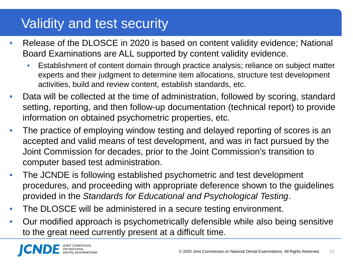### Validity and test security

- Release of the DLOSCE in 2020 is based on content validity evidence; National Board Examinations are ALL supported by content validity evidence.
	- Establishment of content domain through practice analysis; reliance on subject matter experts and their judgment to determine item allocations, structure test development activities, build and review content, establish standards, etc.
- Data will be collected at the time of administration, followed by scoring, standard setting, reporting, and then follow-up documentation (technical report) to provide information on obtained psychometric properties, etc.
- The practice of employing window testing and delayed reporting of scores is an accepted and valid means of test development, and was in fact pursued by the Joint Commission for decades, prior to the Joint Commission's transition to computer based test administration.
- The JCNDE is following established psychometric and test development procedures, and proceeding with appropriate deference shown to the guidelines provided in the *Standards for Educational and Psychological Testing*.
- The DLOSCE will be administered in a secure testing environment.
- Our modified approach is psychometrically defensible while also being sensitive to the great need currently present at a difficult time.

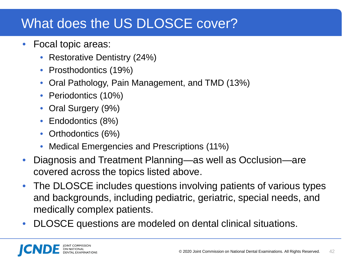### What does the US DLOSCE cover?

- Focal topic areas:
	- Restorative Dentistry (24%)
	- Prosthodontics (19%)
	- Oral Pathology, Pain Management, and TMD (13%)
	- Periodontics (10%)
	- Oral Surgery (9%)
	- Endodontics (8%)
	- Orthodontics (6%)
	- Medical Emergencies and Prescriptions (11%)
- Diagnosis and Treatment Planning—as well as Occlusion—are covered across the topics listed above.
- The DLOSCE includes questions involving patients of various types and backgrounds, including pediatric, geriatric, special needs, and medically complex patients.
- DLOSCE questions are modeled on dental clinical situations.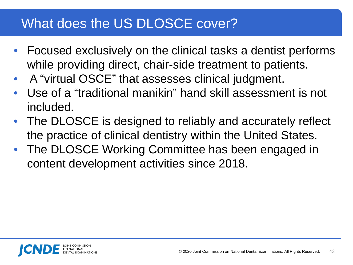#### What does the US DLOSCE cover?

- Focused exclusively on the clinical tasks a dentist performs while providing direct, chair-side treatment to patients.
- A "virtual OSCE" that assesses clinical judgment.
- Use of a "traditional manikin" hand skill assessment is not included.
- The DLOSCE is designed to reliably and accurately reflect the practice of clinical dentistry within the United States.
- The DLOSCE Working Committee has been engaged in content development activities since 2018.

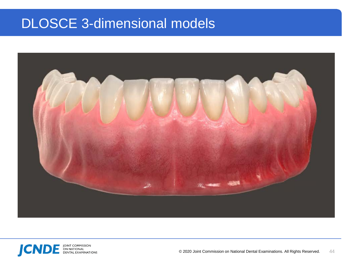#### DLOSCE 3-dimensional models



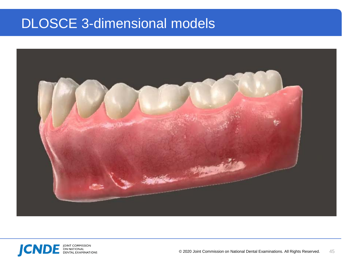#### DLOSCE 3-dimensional models



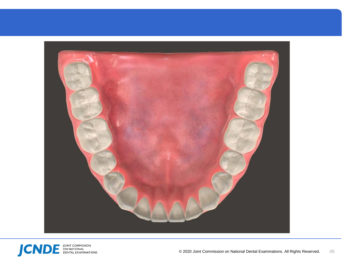

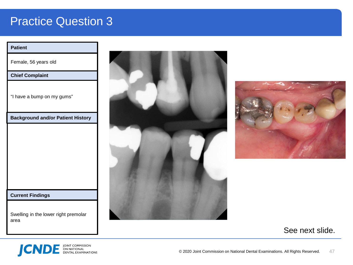#### Practice Question 3

#### **Patient**

Female, 56 years old

#### **Chief Complaint**

"I have a bump on my gums"

**Background and/or Patient History**

#### **Current Findings**

Swelling in the lower right premolar area





#### See next slide.

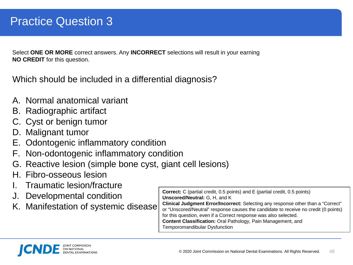#### Practice Question 3

Select **ONE OR MORE** correct answers. Any **INCORRECT** selections will result in your earning **NO CREDIT** for this question.

Which should be included in a differential diagnosis?

- A. Normal anatomical variant
- B. Radiographic artifact
- C. Cyst or benign tumor
- D. Malignant tumor
- E. Odontogenic inflammatory condition
- F. Non-odontogenic inflammatory condition
- G. Reactive lesion (simple bone cyst, giant cell lesions)
- H. Fibro-osseous lesion
- I. Traumatic lesion/fracture
- J. Developmental condition
- K. Manifestation of systemic disease

**Correct:** C (partial credit, 0.5 points) and E (partial credit, 0.5 points) **Unscored/Neutral:** G, H, and K **Clinical Judgment Error/Incorrect:** Selecting any response other than a "Correct" or "Unscored/Neutral" response causes the candidate to receive no credit (0 points) for this question, even if a Correct response was also selected. **Content Classification:** Oral Pathology, Pain Management, and Temporomandibular Dysfunction

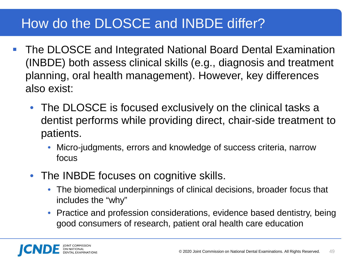#### How do the DLOSCE and INBDE differ?

- The DLOSCE and Integrated National Board Dental Examination (INBDE) both assess clinical skills (e.g., diagnosis and treatment planning, oral health management). However, key differences also exist:
	- The DLOSCE is focused exclusively on the clinical tasks a dentist performs while providing direct, chair-side treatment to patients.
		- Micro-judgments, errors and knowledge of success criteria, narrow focus
	- The INBDE focuses on cognitive skills.
		- The biomedical underpinnings of clinical decisions, broader focus that includes the "why"
		- Practice and profession considerations, evidence based dentistry, being good consumers of research, patient oral health care education

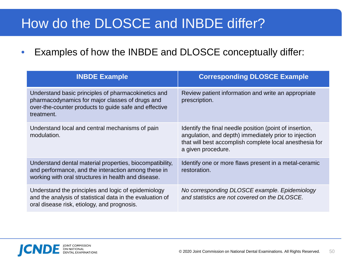#### How do the DLOSCE and INBDE differ?

• Examples of how the INBDE and DLOSCE conceptually differ:

| <b>INBDE Example</b>                                                                                                                                                          | <b>Corresponding DLOSCE Example</b>                                                                                                                                                               |
|-------------------------------------------------------------------------------------------------------------------------------------------------------------------------------|---------------------------------------------------------------------------------------------------------------------------------------------------------------------------------------------------|
| Understand basic principles of pharmacokinetics and<br>pharmacodynamics for major classes of drugs and<br>over-the-counter products to guide safe and effective<br>treatment. | Review patient information and write an appropriate<br>prescription.                                                                                                                              |
| Understand local and central mechanisms of pain<br>modulation.                                                                                                                | Identify the final needle position (point of insertion,<br>angulation, and depth) immediately prior to injection<br>that will best accomplish complete local anesthesia for<br>a given procedure. |
| Understand dental material properties, biocompatibility,<br>and performance, and the interaction among these in<br>working with oral structures in health and disease.        | Identify one or more flaws present in a metal-ceramic<br>restoration.                                                                                                                             |
| Understand the principles and logic of epidemiology<br>and the analysis of statistical data in the evaluation of<br>oral disease risk, etiology, and prognosis.               | No corresponding DLOSCE example. Epidemiology<br>and statistics are not covered on the DLOSCE.                                                                                                    |

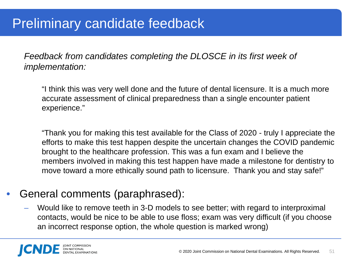*Feedback from candidates completing the DLOSCE in its first week of implementation:*

"I think this was very well done and the future of dental licensure. It is a much more accurate assessment of clinical preparedness than a single encounter patient experience."

"Thank you for making this test available for the Class of 2020 - truly I appreciate the efforts to make this test happen despite the uncertain changes the COVID pandemic brought to the healthcare profession. This was a fun exam and I believe the members involved in making this test happen have made a milestone for dentistry to move toward a more ethically sound path to licensure. Thank you and stay safe!"

#### • General comments (paraphrased):

– Would like to remove teeth in 3-D models to see better; with regard to interproximal contacts, would be nice to be able to use floss; exam was very difficult (if you choose an incorrect response option, the whole question is marked wrong)

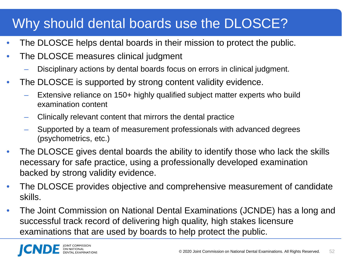### Why should dental boards use the DLOSCE?

- The DLOSCE helps dental boards in their mission to protect the public.
- The DLOSCE measures clinical judgment
	- Disciplinary actions by dental boards focus on errors in clinical judgment.
- The DLOSCE is supported by strong content validity evidence.
	- Extensive reliance on 150+ highly qualified subject matter experts who build examination content
	- Clinically relevant content that mirrors the dental practice
	- Supported by a team of measurement professionals with advanced degrees (psychometrics, etc.)
- The DLOSCE gives dental boards the ability to identify those who lack the skills necessary for safe practice, using a professionally developed examination backed by strong validity evidence.
- The DLOSCE provides objective and comprehensive measurement of candidate skills.
- The Joint Commission on National Dental Examinations (JCNDE) has a long and successful track record of delivering high quality, high stakes licensure examinations that are used by boards to help protect the public.

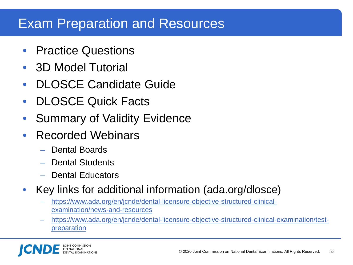#### Exam Preparation and Resources

- Practice Questions
- 3D Model Tutorial
- DLOSCE Candidate Guide
- DLOSCE Quick Facts
- Summary of Validity Evidence
- Recorded Webinars
	- Dental Boards
	- Dental Students
	- Dental Educators
- Key links for additional information (ada.org/dlosce)
	- [https://www.ada.org/en/jcnde/dental-licensure-objective-structured-clinical](https://www.ada.org/en/jcnde/dental-licensure-objective-structured-clinical-examination/news-and-resources)examination/news-and-resources
	- [https://www.ada.org/en/jcnde/dental-licensure-objective-structured-clinical-examination/test](https://www.ada.org/en/jcnde/dental-licensure-objective-structured-clinical-examination/test-preparation)preparation

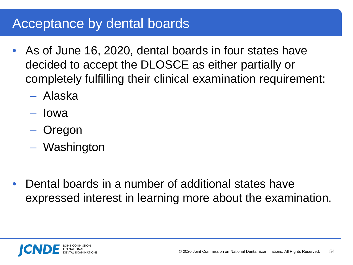#### Acceptance by dental boards

- As of June 16, 2020, dental boards in four states have decided to accept the DLOSCE as either partially or completely fulfilling their clinical examination requirement:
	- Alaska
	- Iowa
	- Oregon
	- Washington
- Dental boards in a number of additional states have expressed interest in learning more about the examination.

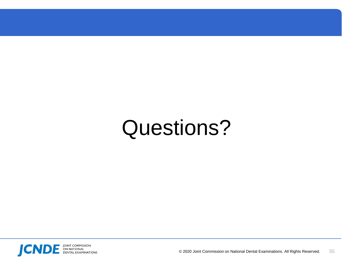# Questions?